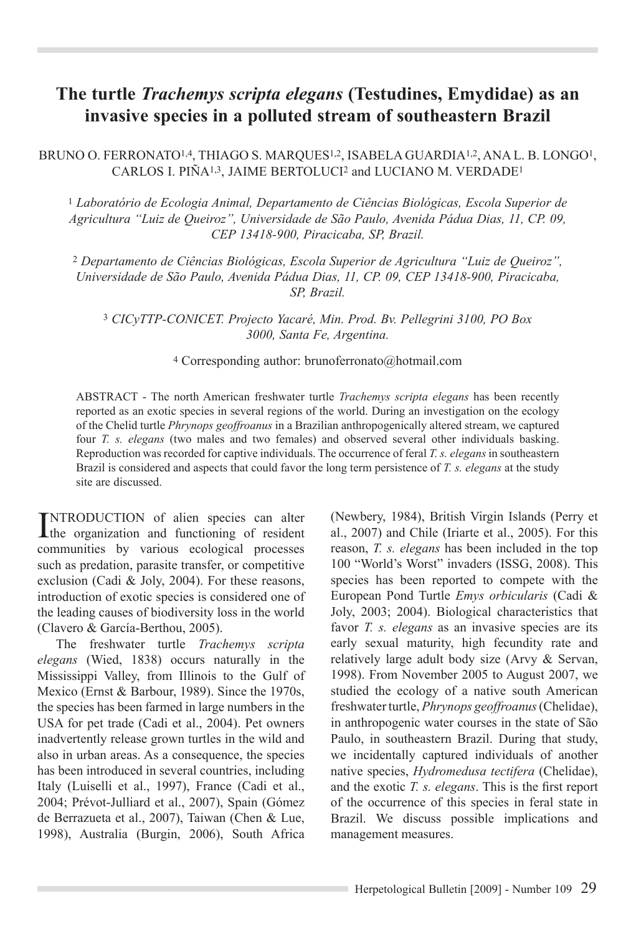# **The turtle** *Trachemys scripta elegans* **(Testudines, Emydidae) as an invasive species in a polluted stream of southeastern Brazil**

BRUNO O. FERRONATO<sup>1,4</sup>, THIAGO S. MARQUES<sup>1,2</sup>, ISABELA GUARDIA<sup>1,2</sup>, ANA L. B. LONGO<sup>1</sup>, CARLOS I. PIÑA<sup>1,3</sup>, JAIME BERTOLUCI<sup>2</sup> and LUCIANO M. VERDADE<sup>1</sup>

<sup>1</sup> *Laboratório de Ecologia Animal, Departamento de Ciências Biológicas, Escola Superior de Agricultura "Luiz de Queiroz", Universidade de São Paulo, Avenida Pádua Dias, 11, CP. 09, CEP 13418-900, Piracicaba, SP, Brazil.* 

2 *Departamento de Ciências Biológicas, Escola Superior de Agricultura "Luiz de Queiroz", Universidade de São Paulo, Avenida Pádua Dias, 11, CP. 09, CEP 13418-900, Piracicaba, SP, Brazil.*

<sup>3</sup> *CICyTTP-CONICET. Projecto Yacaré, Min. Prod. Bv. Pellegrini 3100, PO Box 3000, Santa Fe, Argentina.*

### 4 Corresponding author: brunoferronato@hotmail.com

ABSTRACT - The north American freshwater turtle *Trachemys scripta elegans* has been recently reported as an exotic species in several regions of the world. During an investigation on the ecology of the Chelid turtle *Phrynops geoffroanus* in a Brazilian anthropogenically altered stream, we captured four *T. s. elegans* (two males and two females) and observed several other individuals basking. Reproduction was recorded for captive individuals. The occurrence of feral *T. s. elegans* in southeastern Brazil is considered and aspects that could favor the long term persistence of *T. s. elegans* at the study site are discussed.

INTRODUCTION of alien species can alter<br>the organization and functioning of resident the organization and functioning of resident communities by various ecological processes such as predation, parasite transfer, or competitive exclusion (Cadi & Joly, 2004). For these reasons, introduction of exotic species is considered one of the leading causes of biodiversity loss in the world (Clavero & García-Berthou, 2005).

The freshwater turtle *Trachemys scripta elegans* (Wied, 1838) occurs naturally in the Mississippi Valley, from Illinois to the Gulf of Mexico (Ernst & Barbour, 1989). Since the 1970s, the species has been farmed in large numbers in the USA for pet trade (Cadi et al., 2004). Pet owners inadvertently release grown turtles in the wild and also in urban areas. As a consequence, the species has been introduced in several countries, including Italy (Luiselli et al., 1997), France (Cadi et al., 2004; Prévot-Julliard et al., 2007), Spain (Gómez de Berrazueta et al., 2007), Taiwan (Chen & Lue, 1998), Australia (Burgin, 2006), South Africa

(Newbery, 1984), British Virgin Islands (Perry et al., 2007) and Chile (Iriarte et al., 2005). For this reason, *T. s. elegans* has been included in the top 100 "World's Worst" invaders (ISSG, 2008). This species has been reported to compete with the European Pond Turtle *Emys orbicularis* (Cadi & Joly, 2003; 2004). Biological characteristics that favor *T. s. elegans* as an invasive species are its early sexual maturity, high fecundity rate and relatively large adult body size (Arvy & Servan, 1998). From November 2005 to August 2007, we studied the ecology of a native south American freshwater turtle, *Phrynops geoffroanus* (Chelidae), in anthropogenic water courses in the state of São Paulo, in southeastern Brazil. During that study, we incidentally captured individuals of another native species, *Hydromedusa tectifera* (Chelidae), and the exotic *T. s. elegans*. This is the first report of the occurrence of this species in feral state in Brazil. We discuss possible implications and management measures.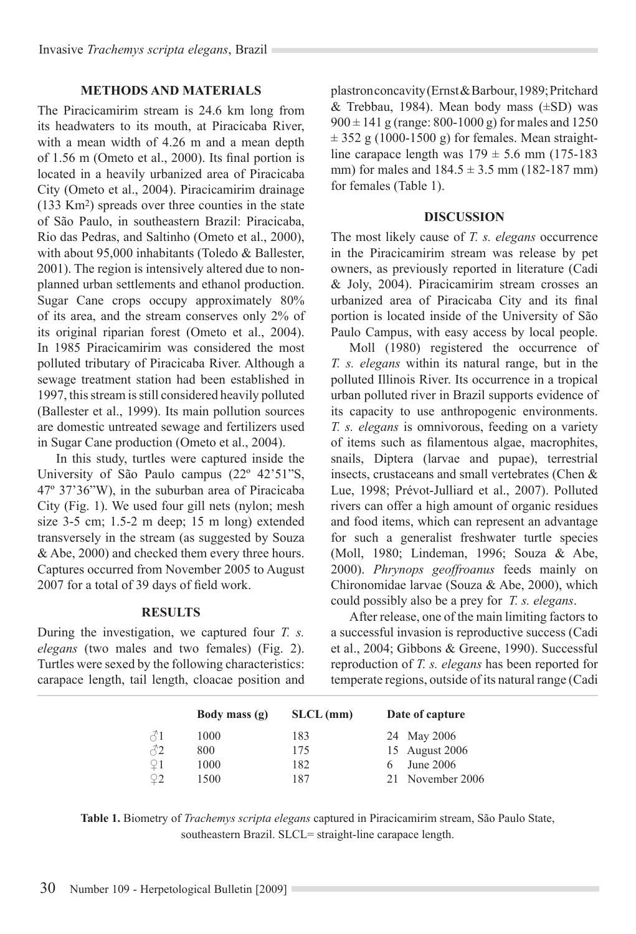## **Methods and Materials**

The Piracicamirim stream is 24.6 km long from its headwaters to its mouth, at Piracicaba River, with a mean width of 4.26 m and a mean depth of 1.56 m (Ometo et al., 2000). Its final portion is located in a heavily urbanized area of Piracicaba City (Ometo et al., 2004). Piracicamirim drainage (133 Km2) spreads over three counties in the state of São Paulo, in southeastern Brazil: Piracicaba, Rio das Pedras, and Saltinho (Ometo et al., 2000), with about 95,000 inhabitants (Toledo & Ballester, 2001). The region is intensively altered due to nonplanned urban settlements and ethanol production. Sugar Cane crops occupy approximately 80% of its area, and the stream conserves only 2% of its original riparian forest (Ometo et al., 2004). In 1985 Piracicamirim was considered the most polluted tributary of Piracicaba River. Although a sewage treatment station had been established in 1997, this stream is still considered heavily polluted (Ballester et al., 1999). Its main pollution sources are domestic untreated sewage and fertilizers used in Sugar Cane production (Ometo et al., 2004).

In this study, turtles were captured inside the University of São Paulo campus (22º 42'51"S, 47º 37'36"W), in the suburban area of Piracicaba City (Fig. 1). We used four gill nets (nylon; mesh size 3-5 cm; 1.5-2 m deep; 15 m long) extended transversely in the stream (as suggested by Souza & Abe, 2000) and checked them every three hours. Captures occurred from November 2005 to August 2007 for a total of 39 days of field work.

#### **Results**

During the investigation, we captured four *T. s. elegans* (two males and two females) (Fig. 2). Turtles were sexed by the following characteristics: carapace length, tail length, cloacae position and plastron concavity (Ernst & Barbour, 1989; Pritchard & Trebbau, 1984). Mean body mass  $(\pm SD)$  was  $900 \pm 141$  g (range: 800-1000 g) for males and 1250  $\pm$  352 g (1000-1500 g) for females. Mean straightline carapace length was  $179 \pm 5.6$  mm (175-183) mm) for males and  $184.5 \pm 3.5$  mm (182-187 mm) for females (Table 1).

#### **Discussion**

The most likely cause of *T. s. elegans* occurrence in the Piracicamirim stream was release by pet owners, as previously reported in literature (Cadi & Joly, 2004). Piracicamirim stream crosses an urbanized area of Piracicaba City and its final portion is located inside of the University of São Paulo Campus, with easy access by local people.

Moll (1980) registered the occurrence of *T. s. elegans* within its natural range, but in the polluted Illinois River. Its occurrence in a tropical urban polluted river in Brazil supports evidence of its capacity to use anthropogenic environments. *T. s. elegans* is omnivorous, feeding on a variety of items such as filamentous algae, macrophites, snails, Diptera (larvae and pupae), terrestrial insects, crustaceans and small vertebrates (Chen & Lue, 1998; Prévot-Julliard et al., 2007). Polluted rivers can offer a high amount of organic residues and food items, which can represent an advantage for such a generalist freshwater turtle species (Moll, 1980; Lindeman, 1996; Souza & Abe, 2000). *Phrynops geoffroanus* feeds mainly on Chironomidae larvae (Souza & Abe, 2000), which could possibly also be a prey for *T. s. elegans*.

After release, one of the main limiting factors to a successful invasion is reproductive success (Cadi et al., 2004; Gibbons & Greene, 1990). Successful reproduction of *T. s. elegans* has been reported for temperate regions, outside of its natural range (Cadi

|             | Body mass (g) | $SLCL$ (mm) | Date of capture |
|-------------|---------------|-------------|-----------------|
| ♂1          | 1000          | 183         | 24 May 2006     |
| 82          | 800           | 175         | 15 August 2006  |
| $\sqrt{21}$ | 1000          | 182         | June 2006       |
|             | 1500          | 187         | November 2006   |

**Table 1.** Biometry of *Trachemys scripta elegans* captured in Piracicamirim stream, São Paulo State, southeastern Brazil. SLCL= straight-line carapace length.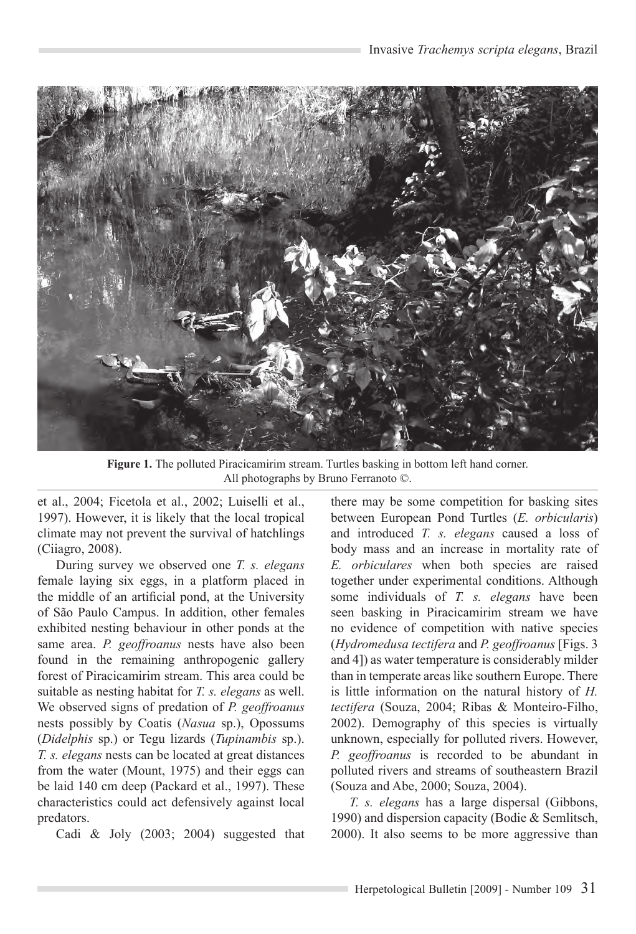

**Figure 1.** The polluted Piracicamirim stream. Turtles basking in bottom left hand corner. All photographs by Bruno Ferranoto ©.

et al., 2004; Ficetola et al., 2002; Luiselli et al., 1997). However, it is likely that the local tropical climate may not prevent the survival of hatchlings (Ciiagro, 2008).

During survey we observed one *T. s. elegans* female laying six eggs, in a platform placed in the middle of an artificial pond, at the University of São Paulo Campus. In addition, other females exhibited nesting behaviour in other ponds at the same area. *P. geoffroanus* nests have also been found in the remaining anthropogenic gallery forest of Piracicamirim stream. This area could be suitable as nesting habitat for *T. s. elegans* as well. We observed signs of predation of *P. geoffroanus* nests possibly by Coatis (*Nasua* sp.), Opossums (*Didelphis* sp.) or Tegu lizards (*Tupinambis* sp.). *T. s. elegans* nests can be located at great distances from the water (Mount, 1975) and their eggs can be laid 140 cm deep (Packard et al., 1997). These characteristics could act defensively against local predators.

Cadi & Joly (2003; 2004) suggested that

there may be some competition for basking sites between European Pond Turtles (*E. orbicularis*) and introduced *T. s. elegans* caused a loss of body mass and an increase in mortality rate of *E. orbiculares* when both species are raised together under experimental conditions. Although some individuals of *T. s. elegans* have been seen basking in Piracicamirim stream we have no evidence of competition with native species (*Hydromedusa tectifera* and *P. geoffroanus* [Figs. 3 and 4]) as water temperature is considerably milder than in temperate areas like southern Europe. There is little information on the natural history of *H. tectifera* (Souza, 2004; Ribas & Monteiro-Filho, 2002). Demography of this species is virtually unknown, especially for polluted rivers. However, *P. geoffroanus* is recorded to be abundant in polluted rivers and streams of southeastern Brazil (Souza and Abe, 2000; Souza, 2004).

*T. s. elegans* has a large dispersal (Gibbons, 1990) and dispersion capacity (Bodie & Semlitsch, 2000). It also seems to be more aggressive than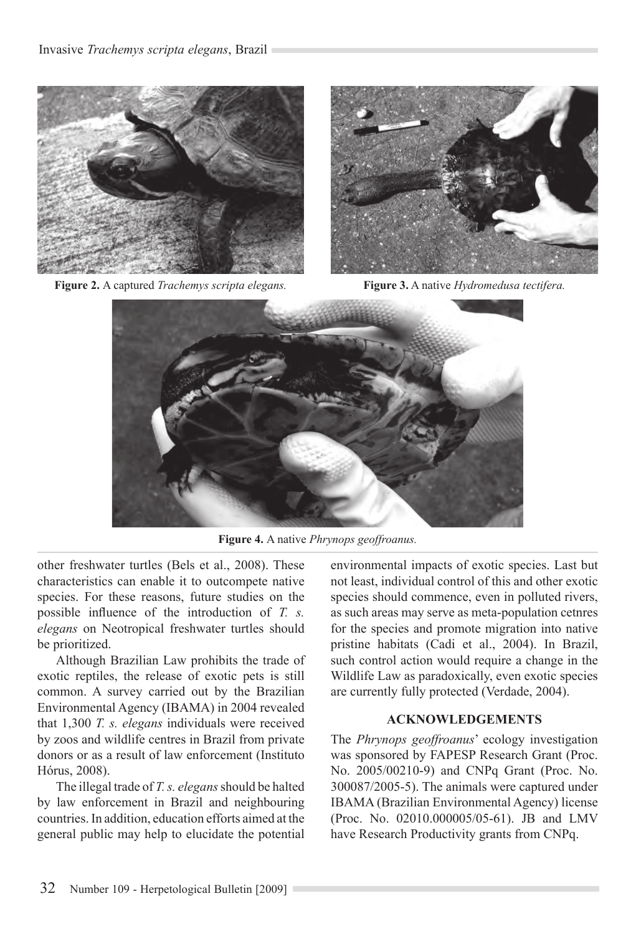

**Figure 2.** A captured *Trachemys scripta elegans.* **Figure 3.** A native *Hydromedusa tectifera.*



**Figure 4.** A native *Phrynops geoffroanus.*

other freshwater turtles (Bels et al., 2008). These characteristics can enable it to outcompete native species. For these reasons, future studies on the possible influence of the introduction of *T. s. elegans* on Neotropical freshwater turtles should be prioritized.

Although Brazilian Law prohibits the trade of exotic reptiles, the release of exotic pets is still common. A survey carried out by the Brazilian Environmental Agency (IBAMA) in 2004 revealed that 1,300 *T. s. elegans* individuals were received by zoos and wildlife centres in Brazil from private donors or as a result of law enforcement (Instituto Hórus, 2008).

The illegal trade of *T. s. elegans* should be halted by law enforcement in Brazil and neighbouring countries. In addition, education efforts aimed at the general public may help to elucidate the potential environmental impacts of exotic species. Last but not least, individual control of this and other exotic species should commence, even in polluted rivers, as such areas may serve as meta-population cetnres for the species and promote migration into native pristine habitats (Cadi et al., 2004). In Brazil, such control action would require a change in the Wildlife Law as paradoxically, even exotic species are currently fully protected (Verdade, 2004).

## **Acknowledgements**

The *Phrynops geoffroanus*' ecology investigation was sponsored by FAPESP Research Grant (Proc. No. 2005/00210-9) and CNPq Grant (Proc. No. 300087/2005-5). The animals were captured under IBAMA (Brazilian Environmental Agency) license (Proc. No. 02010.000005/05-61). JB and LMV have Research Productivity grants from CNPq.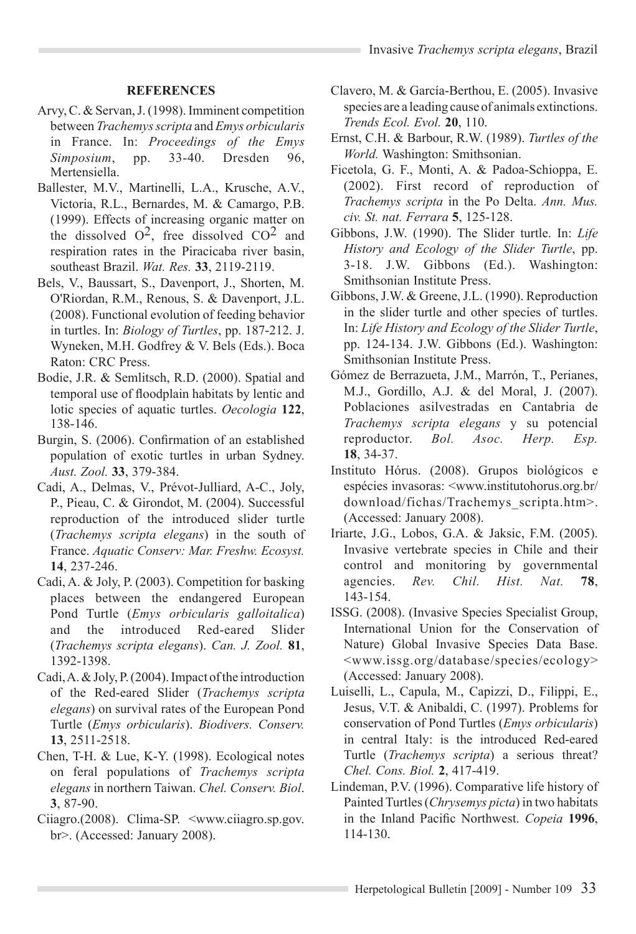## **References**

- Arvy, C. & Servan, J. (1998). Imminent competition between *Trachemys scripta* and *Emys orbicularis* in France. In: *Proceedings of the Emys Simposium*, pp. 33-40. Dresden 96, Mertensiella.
- Ballester, M.V., Martinelli, L.A., Krusche, A.V., Victoria, R.L., Bernardes, M. & Camargo, P.B. (1999). Effects of increasing organic matter on the dissolved  $O^2$ , free dissolved  $CO^2$  and respiration rates in the Piracicaba river basin, southeast Brazil. *Wat. Res.* **33**, 2119-2119.
- Bels, V., Baussart, S., Davenport, J., Shorten, M. O'Riordan, R.M., Renous, S. & Davenport, J.L. (2008). Functional evolution of feeding behavior in turtles. In: *Biology of Turtles*, pp. 187-212. J. Wyneken, M.H. Godfrey & V. Bels (Eds.). Boca Raton: CRC Press.
- Bodie, J.R. & Semlitsch, R.D. (2000). Spatial and temporal use of floodplain habitats by lentic and lotic species of aquatic turtles. *Oecologia* **122**, 138-146.
- Burgin, S. (2006). Confirmation of an established population of exotic turtles in urban Sydney. *Aust. Zool.* **33**, 379-384.
- Cadi, A., Delmas, V., Prévot-Julliard, A-C., Joly, P., Pieau, C. & Girondot, M. (2004). Successful reproduction of the introduced slider turtle (*Trachemys scripta elegans*) in the south of France. *Aquatic Conserv: Mar. Freshw. Ecosyst.*  **14**, 237-246.
- Cadi, A. & Joly, P. (2003). Competition for basking places between the endangered European Pond Turtle (*Emys orbicularis galloitalica*) and the introduced Red-eared Slider (*Trachemys scripta elegans*). *Can. J. Zool.* **81**, 1392-1398.
- Cadi, A. & Joly, P. (2004). Impact of the introduction of the Red-eared Slider (*Trachemys scripta elegans*) on survival rates of the European Pond Turtle (*Emys orbicularis*). *Biodivers. Conserv.* **13**, 2511-2518.
- Chen, T-H. & Lue, K-Y. (1998). Ecological notes on feral populations of *Trachemys scripta elegans* in northern Taiwan. *Chel. Conserv. Biol*. **3**, 87-90.
- Ciiagro.(2008). Clima-SP. <www.ciiagro.sp.gov. br>. (Accessed: January 2008).
- Clavero, M. & García-Berthou, E. (2005). Invasive species are a leading cause of animals extinctions. *Trends Ecol. Evol.* **20**, 110.
- Ernst, C.H. & Barbour, R.W. (1989). *Turtles of the World.* Washington: Smithsonian.
- Ficetola, G. F., Monti, A. & Padoa-Schioppa, E. (2002). First record of reproduction of *Trachemys scripta* in the Po Delta. *Ann. Mus. civ. St. nat. Ferrara* **5**, 125-128.
- Gibbons, J.W. (1990). The Slider turtle. In: *Life History and Ecology of the Slider Turtle*, pp. 3-18. J.W. Gibbons (Ed.). Washington: Smithsonian Institute Press.
- Gibbons, J.W. & Greene, J.L. (1990). Reproduction in the slider turtle and other species of turtles. In: *Life History and Ecology of the Slider Turtle*, pp. 124-134. J.W. Gibbons (Ed.). Washington: Smithsonian Institute Press.
- Gómez de Berrazueta, J.M., Marrón, T., Perianes, M.J., Gordillo, A.J. & del Moral, J. (2007). Poblaciones asilvestradas en Cantabria de *Trachemys scripta elegans* y su potencial reproductor. *Bol. Asoc. Herp. Esp.* **18**, 34-37.
- Instituto Hórus. (2008). Grupos biológicos e espécies invasoras: <www.institutohorus.org.br/ download/fichas/Trachemys\_scripta.htm>. (Accessed: January 2008).
- Iriarte, J.G., Lobos, G.A. & Jaksic, F.M. (2005). Invasive vertebrate species in Chile and their control and monitoring by governmental agencies. *Rev. Chil. Hist. Nat.* **78**, 143-154.
- ISSG. (2008). (Invasive Species Specialist Group, International Union for the Conservation of Nature) Global Invasive Species Data Base. <www.issg.org/database/species/ecology> (Accessed: January 2008).
- Luiselli, L., Capula, M., Capizzi, D., Filippi, E., Jesus, V.T. & Anibaldi, C. (1997). Problems for conservation of Pond Turtles (*Emys orbicularis*) in central Italy: is the introduced Red-eared Turtle (*Trachemys scripta*) a serious threat? *Chel. Cons. Biol.* **2**, 417-419.
- Lindeman, P.V. (1996). Comparative life history of Painted Turtles (*Chrysemys picta*) in two habitats in the Inland Pacific Northwest. *Copeia* **1996**, 114-130.